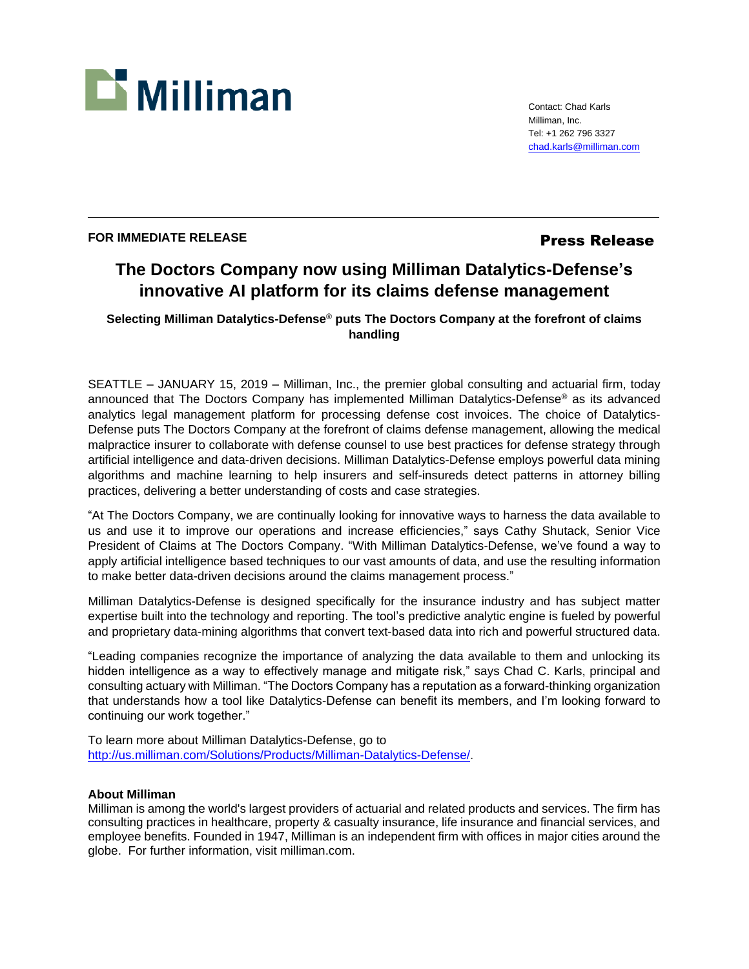

Contact: Chad Karls Milliman, Inc. Tel: +1 262 796 3327 [chad.karls@milliman.com](mailto:chad.karls@milliman.com)

## **FOR IMMEDIATE RELEASE Press Release**

## **The Doctors Company now using Milliman Datalytics-Defense's innovative AI platform for its claims defense management**

**Selecting Milliman Datalytics-Defense**® **puts The Doctors Company at the forefront of claims handling**

SEATTLE – JANUARY 15, 2019 – Milliman, Inc., the premier global consulting and actuarial firm, today announced that The Doctors Company has implemented Milliman Datalytics-Defense® as its advanced analytics legal management platform for processing defense cost invoices. The choice of Datalytics-Defense puts The Doctors Company at the forefront of claims defense management, allowing the medical malpractice insurer to collaborate with defense counsel to use best practices for defense strategy through artificial intelligence and data-driven decisions. Milliman Datalytics-Defense employs powerful data mining algorithms and machine learning to help insurers and self-insureds detect patterns in attorney billing practices, delivering a better understanding of costs and case strategies.

"At The Doctors Company, we are continually looking for innovative ways to harness the data available to us and use it to improve our operations and increase efficiencies," says Cathy Shutack, Senior Vice President of Claims at The Doctors Company. "With Milliman Datalytics-Defense, we've found a way to apply artificial intelligence based techniques to our vast amounts of data, and use the resulting information to make better data-driven decisions around the claims management process."

Milliman Datalytics-Defense is designed specifically for the insurance industry and has subject matter expertise built into the technology and reporting. The tool's predictive analytic engine is fueled by powerful and proprietary data-mining algorithms that convert text-based data into rich and powerful structured data.

"Leading companies recognize the importance of analyzing the data available to them and unlocking its hidden intelligence as a way to effectively manage and mitigate risk," says Chad C. Karls, principal and consulting actuary with Milliman. "The Doctors Company has a reputation as a forward-thinking organization that understands how a tool like Datalytics-Defense can benefit its members, and I'm looking forward to continuing our work together."

To learn more about Milliman Datalytics-Defense, go to [http://us.milliman.com/Solutions/Products/Milliman-Datalytics-Defense/.](http://us.milliman.com/Solutions/Products/Milliman-Datalytics-Defense/)

## **About Milliman**

Milliman is among the world's largest providers of actuarial and related products and services. The firm has consulting practices in healthcare, property & casualty insurance, life insurance and financial services, and employee benefits. Founded in 1947, Milliman is an independent firm with offices in major cities around the globe. For further information, visit milliman.com.